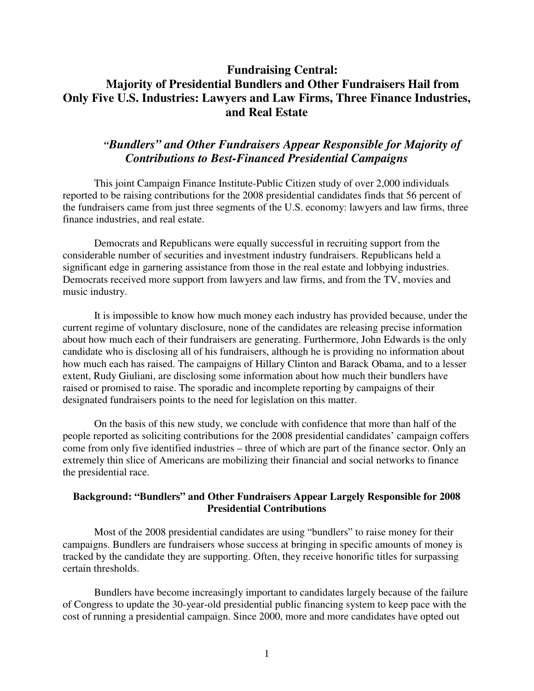## **Fundraising Central: Majority of Presidential Bundlers and Other Fundraisers Hail from Only Five U.S. Industries: Lawyers and Law Firms, Three Finance Industries, and Real Estate**

## *"Bundlers" and Other Fundraisers Appear Responsible for Majority of Contributions to Best-Financed Presidential Campaigns*

This joint Campaign Finance Institute-Public Citizen study of over 2,000 individuals reported to be raising contributions for the 2008 presidential candidates finds that 56 percent of the fundraisers came from just three segments of the U.S. economy: lawyers and law firms, three finance industries, and real estate.

Democrats and Republicans were equally successful in recruiting support from the considerable number of securities and investment industry fundraisers. Republicans held a significant edge in garnering assistance from those in the real estate and lobbying industries. Democrats received more support from lawyers and law firms, and from the TV, movies and music industry.

It is impossible to know how much money each industry has provided because, under the current regime of voluntary disclosure, none of the candidates are releasing precise information about how much each of their fundraisers are generating. Furthermore, John Edwards is the only candidate who is disclosing all of his fundraisers, although he is providing no information about how much each has raised. The campaigns of Hillary Clinton and Barack Obama, and to a lesser extent, Rudy Giuliani, are disclosing some information about how much their bundlers have raised or promised to raise. The sporadic and incomplete reporting by campaigns of their designated fundraisers points to the need for legislation on this matter.

On the basis of this new study, we conclude with confidence that more than half of the people reported as soliciting contributions for the 2008 presidential candidates' campaign coffers come from only five identified industries – three of which are part of the finance sector. Only an extremely thin slice of Americans are mobilizing their financial and social networks to finance the presidential race.

#### **Background: "Bundlers" and Other Fundraisers Appear Largely Responsible for 2008 Presidential Contributions**

Most of the 2008 presidential candidates are using "bundlers" to raise money for their campaigns. Bundlers are fundraisers whose success at bringing in specific amounts of money is tracked by the candidate they are supporting. Often, they receive honorific titles for surpassing certain thresholds.

Bundlers have become increasingly important to candidates largely because of the failure of Congress to update the 30-year-old presidential public financing system to keep pace with the cost of running a presidential campaign. Since 2000, more and more candidates have opted out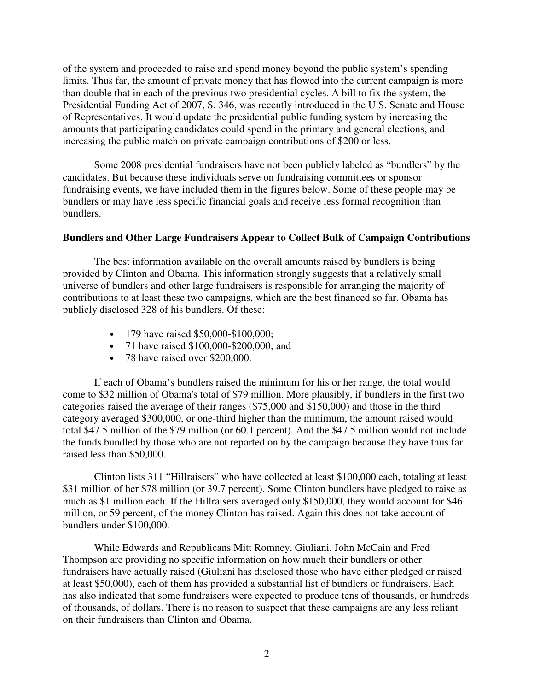of the system and proceeded to raise and spend money beyond the public system's spending limits. Thus far, the amount of private money that has flowed into the current campaign is more than double that in each of the previous two presidential cycles. A bill to fix the system, the Presidential Funding Act of 2007, S. 346, was recently introduced in the U.S. Senate and House of Representatives. It would update the presidential public funding system by increasing the amounts that participating candidates could spend in the primary and general elections, and increasing the public match on private campaign contributions of \$200 or less.

Some 2008 presidential fundraisers have not been publicly labeled as "bundlers" by the candidates. But because these individuals serve on fundraising committees or sponsor fundraising events, we have included them in the figures below. Some of these people may be bundlers or may have less specific financial goals and receive less formal recognition than bundlers.

#### **Bundlers and Other Large Fundraisers Appear to Collect Bulk of Campaign Contributions**

The best information available on the overall amounts raised by bundlers is being provided by Clinton and Obama. This information strongly suggests that a relatively small universe of bundlers and other large fundraisers is responsible for arranging the majority of contributions to at least these two campaigns, which are the best financed so far. Obama has publicly disclosed 328 of his bundlers. Of these:

- 179 have raised \$50,000-\$100,000;
- 71 have raised \$100,000-\$200,000; and
- 78 have raised over \$200,000.

If each of Obama's bundlers raised the minimum for his or her range, the total would come to \$32 million of Obama's total of \$79 million. More plausibly, if bundlers in the first two categories raised the average of their ranges (\$75,000 and \$150,000) and those in the third category averaged \$300,000, or one-third higher than the minimum, the amount raised would total \$47.5 million of the \$79 million (or 60.1 percent). And the \$47.5 million would not include the funds bundled by those who are not reported on by the campaign because they have thus far raised less than \$50,000.

Clinton lists 311 "Hillraisers" who have collected at least \$100,000 each, totaling at least \$31 million of her \$78 million (or 39.7 percent). Some Clinton bundlers have pledged to raise as much as \$1 million each. If the Hillraisers averaged only \$150,000, they would account for \$46 million, or 59 percent, of the money Clinton has raised. Again this does not take account of bundlers under \$100,000.

While Edwards and Republicans Mitt Romney, Giuliani, John McCain and Fred Thompson are providing no specific information on how much their bundlers or other fundraisers have actually raised (Giuliani has disclosed those who have either pledged or raised at least \$50,000), each of them has provided a substantial list of bundlers or fundraisers. Each has also indicated that some fundraisers were expected to produce tens of thousands, or hundreds of thousands, of dollars. There is no reason to suspect that these campaigns are any less reliant on their fundraisers than Clinton and Obama.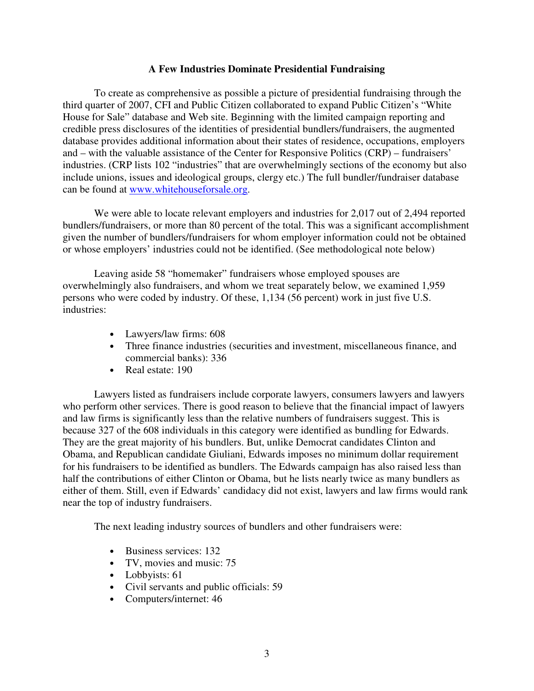#### **A Few Industries Dominate Presidential Fundraising**

To create as comprehensive as possible a picture of presidential fundraising through the third quarter of 2007, CFI and Public Citizen collaborated to expand Public Citizen's "White House for Sale" database and Web site. Beginning with the limited campaign reporting and credible press disclosures of the identities of presidential bundlers/fundraisers, the augmented database provides additional information about their states of residence, occupations, employers and – with the valuable assistance of the Center for Responsive Politics (CRP) – fundraisers' industries. (CRP lists 102 "industries" that are overwhelmingly sections of the economy but also include unions, issues and ideological groups, clergy etc.) The full bundler/fundraiser database can be found at www.whitehouseforsale.org.

We were able to locate relevant employers and industries for 2,017 out of 2,494 reported bundlers/fundraisers, or more than 80 percent of the total. This was a significant accomplishment given the number of bundlers/fundraisers for whom employer information could not be obtained or whose employers' industries could not be identified. (See methodological note below)

Leaving aside 58 "homemaker" fundraisers whose employed spouses are overwhelmingly also fundraisers, and whom we treat separately below, we examined 1,959 persons who were coded by industry. Of these, 1,134 (56 percent) work in just five U.S. industries:

- Lawyers/law firms: 608
- Three finance industries (securities and investment, miscellaneous finance, and commercial banks): 336
- Real estate: 190

Lawyers listed as fundraisers include corporate lawyers, consumers lawyers and lawyers who perform other services. There is good reason to believe that the financial impact of lawyers and law firms is significantly less than the relative numbers of fundraisers suggest. This is because 327 of the 608 individuals in this category were identified as bundling for Edwards. They are the great majority of his bundlers. But, unlike Democrat candidates Clinton and Obama, and Republican candidate Giuliani, Edwards imposes no minimum dollar requirement for his fundraisers to be identified as bundlers. The Edwards campaign has also raised less than half the contributions of either Clinton or Obama, but he lists nearly twice as many bundlers as either of them. Still, even if Edwards' candidacy did not exist, lawyers and law firms would rank near the top of industry fundraisers.

The next leading industry sources of bundlers and other fundraisers were:

- Business services: 132
- TV, movies and music: 75
- Lobbyists: 61
- Civil servants and public officials: 59
- Computers/internet: 46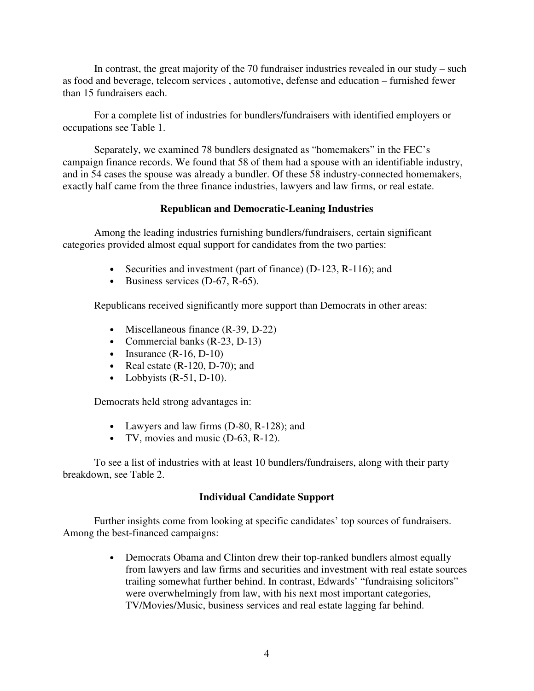In contrast, the great majority of the 70 fundraiser industries revealed in our study – such as food and beverage, telecom services , automotive, defense and education – furnished fewer than 15 fundraisers each.

For a complete list of industries for bundlers/fundraisers with identified employers or occupations see Table 1.

Separately, we examined 78 bundlers designated as "homemakers" in the FEC's campaign finance records. We found that 58 of them had a spouse with an identifiable industry, and in 54 cases the spouse was already a bundler. Of these 58 industry-connected homemakers, exactly half came from the three finance industries, lawyers and law firms, or real estate.

## **Republican and Democratic-Leaning Industries**

Among the leading industries furnishing bundlers/fundraisers, certain significant categories provided almost equal support for candidates from the two parties:

- Securities and investment (part of finance) (D-123, R-116); and
- Business services (D-67, R-65).

Republicans received significantly more support than Democrats in other areas:

- Miscellaneous finance (R-39, D-22)
- Commercial banks (R-23, D-13)
- Insurance  $(R-16, D-10)$
- Real estate  $(R-120, D-70)$ ; and
- Lobbyists  $(R-51, D-10)$ .

Democrats held strong advantages in:

- Lawyers and law firms (D-80, R-128); and
- TV, movies and music (D-63, R-12).

To see a list of industries with at least 10 bundlers/fundraisers, along with their party breakdown, see Table 2.

#### **Individual Candidate Support**

Further insights come from looking at specific candidates' top sources of fundraisers. Among the best-financed campaigns:

> • Democrats Obama and Clinton drew their top-ranked bundlers almost equally from lawyers and law firms and securities and investment with real estate sources trailing somewhat further behind. In contrast, Edwards' "fundraising solicitors" were overwhelmingly from law, with his next most important categories, TV/Movies/Music, business services and real estate lagging far behind.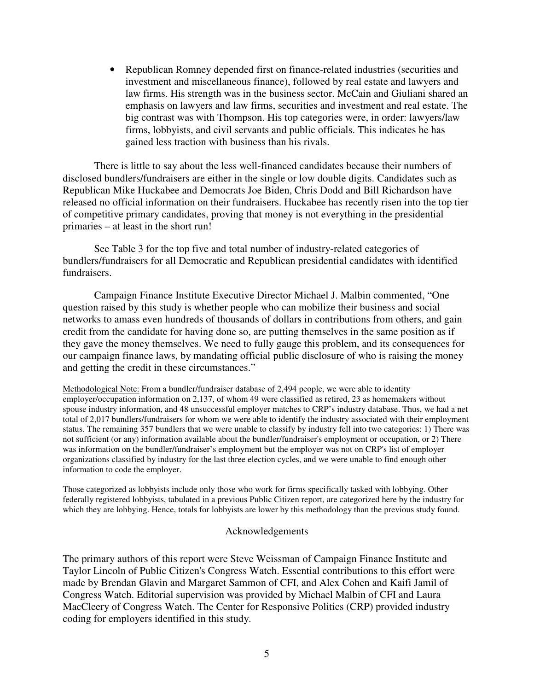• Republican Romney depended first on finance-related industries (securities and investment and miscellaneous finance), followed by real estate and lawyers and law firms. His strength was in the business sector. McCain and Giuliani shared an emphasis on lawyers and law firms, securities and investment and real estate. The big contrast was with Thompson. His top categories were, in order: lawyers/law firms, lobbyists, and civil servants and public officials. This indicates he has gained less traction with business than his rivals.

There is little to say about the less well-financed candidates because their numbers of disclosed bundlers/fundraisers are either in the single or low double digits. Candidates such as Republican Mike Huckabee and Democrats Joe Biden, Chris Dodd and Bill Richardson have released no official information on their fundraisers. Huckabee has recently risen into the top tier of competitive primary candidates, proving that money is not everything in the presidential primaries – at least in the short run!

See Table 3 for the top five and total number of industry-related categories of bundlers/fundraisers for all Democratic and Republican presidential candidates with identified fundraisers.

Campaign Finance Institute Executive Director Michael J. Malbin commented, "One question raised by this study is whether people who can mobilize their business and social networks to amass even hundreds of thousands of dollars in contributions from others, and gain credit from the candidate for having done so, are putting themselves in the same position as if they gave the money themselves. We need to fully gauge this problem, and its consequences for our campaign finance laws, by mandating official public disclosure of who is raising the money and getting the credit in these circumstances."

Methodological Note: From a bundler/fundraiser database of 2,494 people, we were able to identity employer/occupation information on 2,137, of whom 49 were classified as retired, 23 as homemakers without spouse industry information, and 48 unsuccessful employer matches to CRP's industry database. Thus, we had a net total of 2,017 bundlers/fundraisers for whom we were able to identify the industry associated with their employment status. The remaining 357 bundlers that we were unable to classify by industry fell into two categories: 1) There was not sufficient (or any) information available about the bundler/fundraiser's employment or occupation, or 2) There was information on the bundler/fundraiser's employment but the employer was not on CRP's list of employer organizations classified by industry for the last three election cycles, and we were unable to find enough other information to code the employer.

Those categorized as lobbyists include only those who work for firms specifically tasked with lobbying. Other federally registered lobbyists, tabulated in a previous Public Citizen report, are categorized here by the industry for which they are lobbying. Hence, totals for lobbyists are lower by this methodology than the previous study found.

#### Acknowledgements

The primary authors of this report were Steve Weissman of Campaign Finance Institute and Taylor Lincoln of Public Citizen's Congress Watch. Essential contributions to this effort were made by Brendan Glavin and Margaret Sammon of CFI, and Alex Cohen and Kaifi Jamil of Congress Watch. Editorial supervision was provided by Michael Malbin of CFI and Laura MacCleery of Congress Watch. The Center for Responsive Politics (CRP) provided industry coding for employers identified in this study.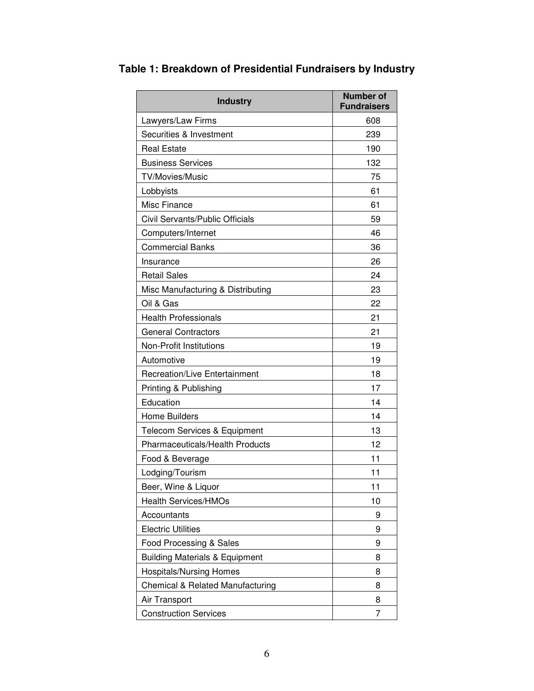| <b>Industry</b>                           | <b>Number of</b><br><b>Fundraisers</b> |
|-------------------------------------------|----------------------------------------|
| Lawyers/Law Firms                         | 608                                    |
| Securities & Investment                   | 239                                    |
| <b>Real Estate</b>                        | 190                                    |
| <b>Business Services</b>                  | 132                                    |
| TV/Movies/Music                           | 75                                     |
| Lobbyists                                 | 61                                     |
| Misc Finance                              | 61                                     |
| Civil Servants/Public Officials           | 59                                     |
| Computers/Internet                        | 46                                     |
| <b>Commercial Banks</b>                   | 36                                     |
| Insurance                                 | 26                                     |
| <b>Retail Sales</b>                       | 24                                     |
| Misc Manufacturing & Distributing         | 23                                     |
| Oil & Gas                                 | 22                                     |
| <b>Health Professionals</b>               | 21                                     |
| <b>General Contractors</b>                | 21                                     |
| <b>Non-Profit Institutions</b>            | 19                                     |
| Automotive                                | 19                                     |
| <b>Recreation/Live Entertainment</b>      | 18                                     |
| Printing & Publishing                     | 17                                     |
| Education                                 | 14                                     |
| <b>Home Builders</b>                      | 14                                     |
| <b>Telecom Services &amp; Equipment</b>   | 13                                     |
| <b>Pharmaceuticals/Health Products</b>    | 12                                     |
| Food & Beverage                           | 11                                     |
| Lodging/Tourism                           | 11                                     |
| Beer, Wine & Liquor                       | 11                                     |
| <b>Health Services/HMOs</b>               | 10                                     |
| Accountants                               | 9                                      |
| <b>Electric Utilities</b>                 | 9                                      |
| Food Processing & Sales                   | 9                                      |
| <b>Building Materials &amp; Equipment</b> | 8                                      |
| <b>Hospitals/Nursing Homes</b>            | 8                                      |
| Chemical & Related Manufacturing          | 8                                      |
| Air Transport                             | 8                                      |
| <b>Construction Services</b>              | 7                                      |

**Table 1: Breakdown of Presidential Fundraisers by Industry**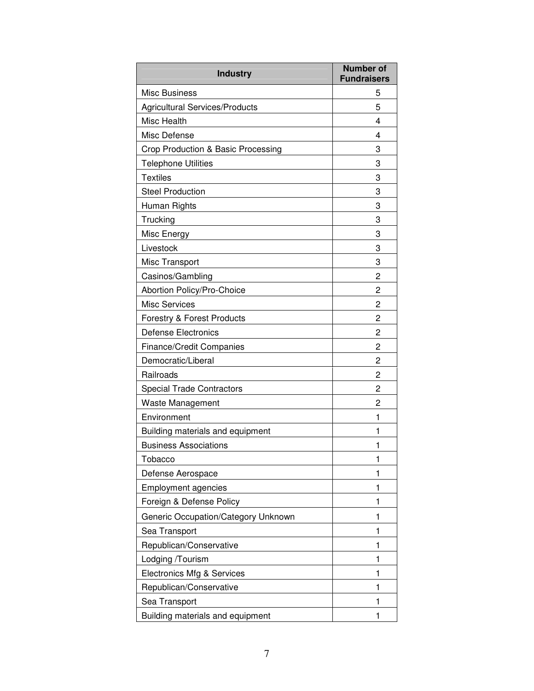| <b>Industry</b>                       | <b>Number of</b><br><b>Fundraisers</b> |
|---------------------------------------|----------------------------------------|
| Misc Business                         | 5                                      |
| <b>Agricultural Services/Products</b> | 5                                      |
| Misc Health                           | 4                                      |
| Misc Defense                          | 4                                      |
| Crop Production & Basic Processing    | 3                                      |
| <b>Telephone Utilities</b>            | 3                                      |
| <b>Textiles</b>                       | 3                                      |
| <b>Steel Production</b>               | 3                                      |
| Human Rights                          | 3                                      |
| Trucking                              | 3                                      |
| Misc Energy                           | 3                                      |
| Livestock                             | 3                                      |
| <b>Misc Transport</b>                 | 3                                      |
| Casinos/Gambling                      | 2                                      |
| Abortion Policy/Pro-Choice            | 2                                      |
| <b>Misc Services</b>                  | 2                                      |
| <b>Forestry &amp; Forest Products</b> | 2                                      |
| <b>Defense Electronics</b>            | 2                                      |
| <b>Finance/Credit Companies</b>       | 2                                      |
| Democratic/Liberal                    | 2                                      |
| Railroads                             | $\mathbf{2}$                           |
| <b>Special Trade Contractors</b>      | 2                                      |
| <b>Waste Management</b>               | 2                                      |
| Environment                           | 1                                      |
| Building materials and equipment      | 1                                      |
| <b>Business Associations</b>          | 1                                      |
| Tobacco                               | 1                                      |
| Defense Aerospace                     | 1                                      |
| <b>Employment agencies</b>            | 1                                      |
| Foreign & Defense Policy              | 1                                      |
| Generic Occupation/Category Unknown   | 1                                      |
| Sea Transport                         | 1                                      |
| Republican/Conservative               | 1                                      |
| Lodging /Tourism                      | 1                                      |
| <b>Electronics Mfg &amp; Services</b> | 1                                      |
| Republican/Conservative               | 1                                      |
| Sea Transport                         | 1                                      |
| Building materials and equipment      | 1                                      |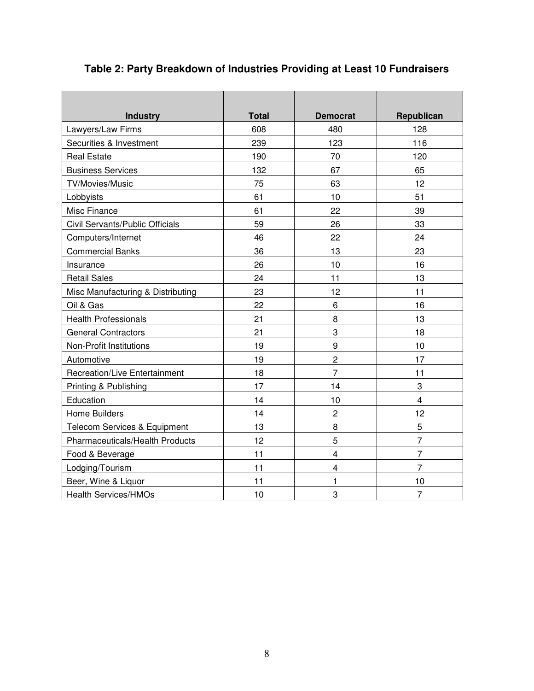# **Table 2: Party Breakdown of Industries Providing at Least 10 Fundraisers**

| <b>Industry</b>                      | <b>Total</b> | <b>Democrat</b>         | Republican              |
|--------------------------------------|--------------|-------------------------|-------------------------|
| Lawyers/Law Firms                    | 608          | 480                     | 128                     |
| Securities & Investment              | 239          | 123                     | 116                     |
| <b>Real Estate</b>                   | 190          | 70                      | 120                     |
| <b>Business Services</b>             | 132          | 67                      | 65                      |
| TV/Movies/Music                      | 75           | 63                      | 12                      |
| Lobbyists                            | 61           | 10                      | 51                      |
| Misc Finance                         | 61           | 22                      | 39                      |
| Civil Servants/Public Officials      | 59           | 26                      | 33                      |
| Computers/Internet                   | 46           | 22                      | 24                      |
| <b>Commercial Banks</b>              | 36           | 13                      | 23                      |
| Insurance                            | 26           | 10                      | 16                      |
| <b>Retail Sales</b>                  | 24           | 11                      | 13                      |
| Misc Manufacturing & Distributing    | 23           | 12                      | 11                      |
| Oil & Gas                            | 22           | 6                       | 16                      |
| <b>Health Professionals</b>          | 21           | 8                       | 13                      |
| <b>General Contractors</b>           | 21           | 3                       | 18                      |
| <b>Non-Profit Institutions</b>       | 19           | 9                       | 10                      |
| Automotive                           | 19           | $\overline{2}$          | 17                      |
| <b>Recreation/Live Entertainment</b> | 18           | 7                       | 11                      |
| Printing & Publishing                | 17           | 14                      | 3                       |
| Education                            | 14           | 10                      | $\overline{\mathbf{4}}$ |
| Home Builders                        | 14           | $\overline{2}$          | 12                      |
| Telecom Services & Equipment         | 13           | 8                       | 5                       |
| Pharmaceuticals/Health Products      | 12           | 5                       | $\overline{7}$          |
| Food & Beverage                      | 11           | $\overline{\mathbf{4}}$ | $\overline{7}$          |
| Lodging/Tourism                      | 11           | $\overline{\mathbf{4}}$ | $\overline{7}$          |
| Beer, Wine & Liquor                  | 11           | 1                       | 10                      |
| <b>Health Services/HMOs</b>          | 10           | 3                       | $\overline{7}$          |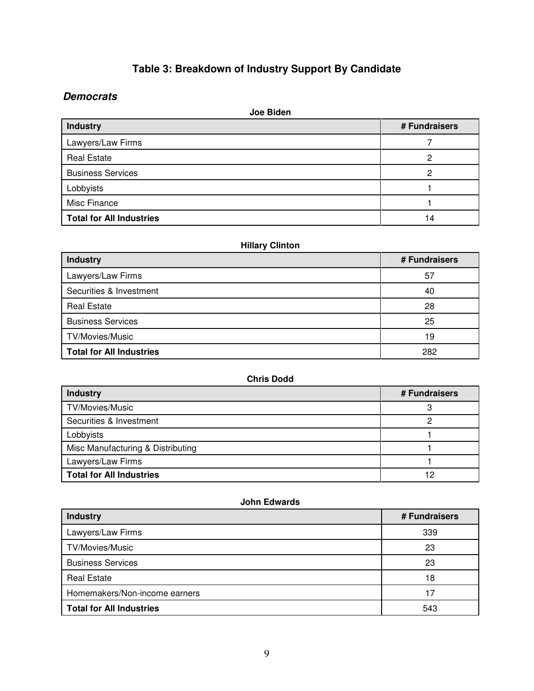# **Table 3: Breakdown of Industry Support By Candidate**

## **Democrats**

| Joe Biden                       |               |  |
|---------------------------------|---------------|--|
| <b>Industry</b>                 | # Fundraisers |  |
| Lawyers/Law Firms               |               |  |
| <b>Real Estate</b>              | っ             |  |
| <b>Business Services</b>        | 2             |  |
| Lobbyists                       |               |  |
| Misc Finance                    |               |  |
| <b>Total for All Industries</b> | 14            |  |

## **Hillary Clinton**

| <b>Industry</b>                 | # Fundraisers |
|---------------------------------|---------------|
| Lawyers/Law Firms               | 57            |
| Securities & Investment         | 40            |
| <b>Real Estate</b>              | 28            |
| <b>Business Services</b>        | 25            |
| TV/Movies/Music                 | 19            |
| <b>Total for All Industries</b> | 282           |

## **Chris Dodd**

| <b>Industry</b>                   | # Fundraisers |
|-----------------------------------|---------------|
| TV/Movies/Music                   |               |
| Securities & Investment           |               |
| Lobbyists                         |               |
| Misc Manufacturing & Distributing |               |
| Lawyers/Law Firms                 |               |
| <b>Total for All Industries</b>   | 12            |

## **John Edwards**

| <b>Industry</b>                 | # Fundraisers |
|---------------------------------|---------------|
| Lawyers/Law Firms               | 339           |
| TV/Movies/Music                 | 23            |
| <b>Business Services</b>        | 23            |
| <b>Real Estate</b>              | 18            |
| Homemakers/Non-income earners   | 17            |
| <b>Total for All Industries</b> | 543           |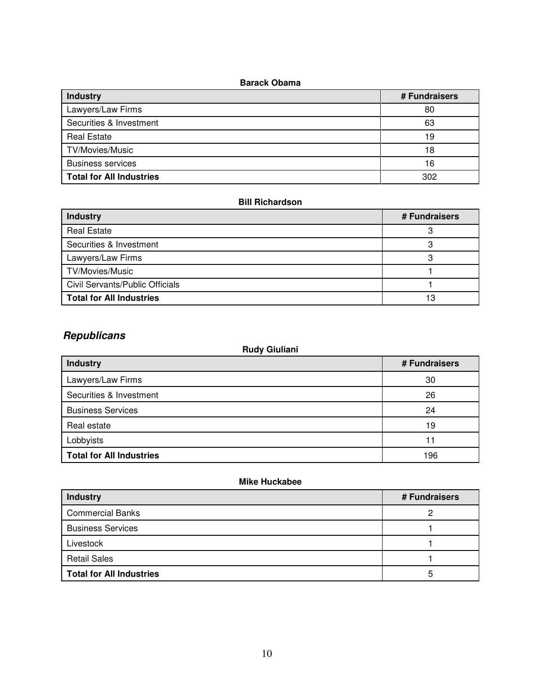## **Barack Obama**

| <b>Industry</b>                 | # Fundraisers |
|---------------------------------|---------------|
| Lawyers/Law Firms               | 80            |
| Securities & Investment         | 63            |
| <b>Real Estate</b>              | 19            |
| TV/Movies/Music                 | 18            |
| <b>Business services</b>        | 16            |
| <b>Total for All Industries</b> | 302           |

### **Bill Richardson**

| PIII TUVIKIWYUI                 |               |  |
|---------------------------------|---------------|--|
| <b>Industry</b>                 | # Fundraisers |  |
| <b>Real Estate</b>              |               |  |
| Securities & Investment         | o             |  |
| Lawyers/Law Firms               |               |  |
| TV/Movies/Music                 |               |  |
| Civil Servants/Public Officials |               |  |
| <b>Total for All Industries</b> | 13            |  |

# **Republicans**

| <b>Rudy Giuliani</b>            |               |  |
|---------------------------------|---------------|--|
| <b>Industry</b>                 | # Fundraisers |  |
| Lawyers/Law Firms               | 30            |  |
| Securities & Investment         | 26            |  |
| <b>Business Services</b>        | 24            |  |
| Real estate                     | 19            |  |
| Lobbyists                       | 11            |  |
| <b>Total for All Industries</b> | 196           |  |

## **Mike Huckabee**

| <b>Industry</b>                 | # Fundraisers |
|---------------------------------|---------------|
| <b>Commercial Banks</b>         | っ             |
| <b>Business Services</b>        |               |
| Livestock                       |               |
| <b>Retail Sales</b>             |               |
| <b>Total for All Industries</b> | 5             |